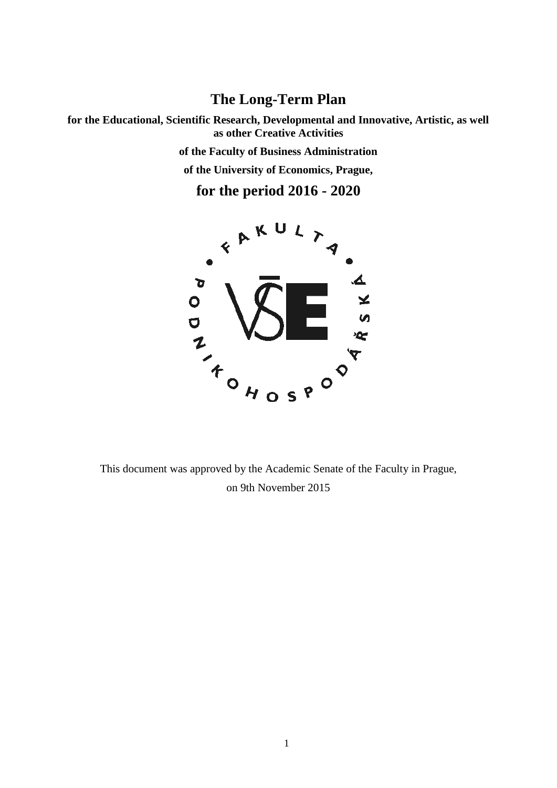# **The Long-Term Plan**

**for the Educational, Scientific Research, Developmental and Innovative, Artistic, as well as other Creative Activities of the Faculty of Business Administration of the University of Economics, Prague,**

**for the period 2016 - 2020**



This document was approved by the Academic Senate of the Faculty in Prague, on 9th November 2015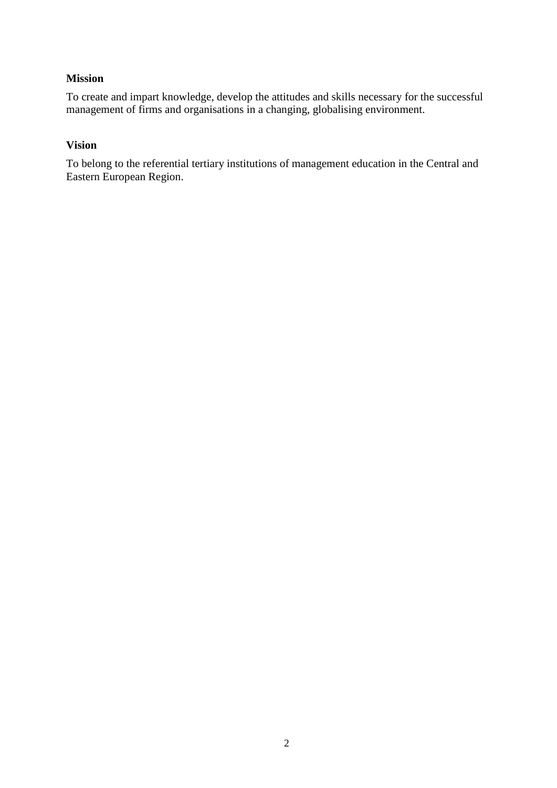### **Mission**

To create and impart knowledge, develop the attitudes and skills necessary for the successful management of firms and organisations in a changing, globalising environment.

#### **Vision**

To belong to the referential tertiary institutions of management education in the Central and Eastern European Region.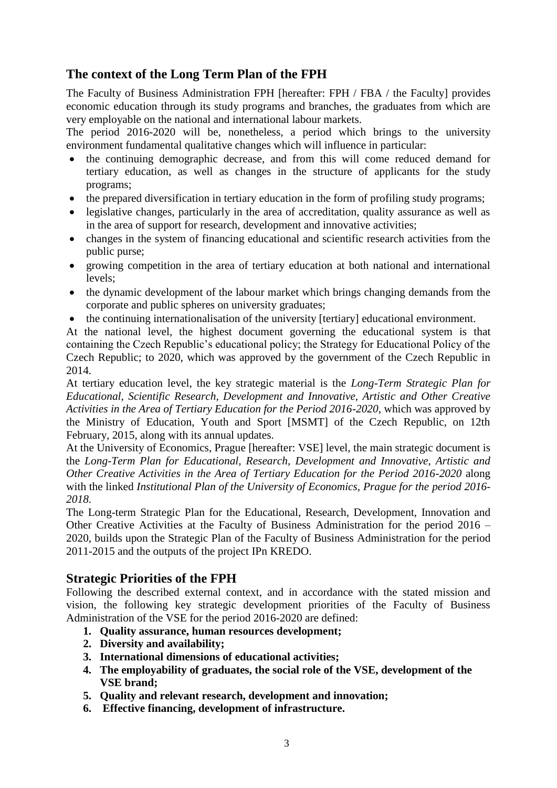## **The context of the Long Term Plan of the FPH**

The Faculty of Business Administration FPH [hereafter: FPH / FBA / the Faculty] provides economic education through its study programs and branches, the graduates from which are very employable on the national and international labour markets.

The period 2016-2020 will be, nonetheless, a period which brings to the university environment fundamental qualitative changes which will influence in particular:

- the continuing demographic decrease, and from this will come reduced demand for tertiary education, as well as changes in the structure of applicants for the study programs;
- the prepared diversification in tertiary education in the form of profiling study programs;
- legislative changes, particularly in the area of accreditation, quality assurance as well as in the area of support for research, development and innovative activities;
- changes in the system of financing educational and scientific research activities from the public purse;
- growing competition in the area of tertiary education at both national and international levels;
- the dynamic development of the labour market which brings changing demands from the corporate and public spheres on university graduates;
- the continuing internationalisation of the university [tertiary] educational environment.

At the national level, the highest document governing the educational system is that containing the Czech Republic's educational policy; the Strategy for Educational Policy of the Czech Republic; to 2020, which was approved by the government of the Czech Republic in 2014.

At tertiary education level, the key strategic material is the *Long-Term Strategic Plan for Educational, Scientific Research, Development and Innovative, Artistic and Other Creative Activities in the Area of Tertiary Education for the Period 2016-2020*, which was approved by the Ministry of Education, Youth and Sport [MSMT] of the Czech Republic, on 12th February, 2015, along with its annual updates.

At the University of Economics, Prague [hereafter: VSE] level, the main strategic document is the *Long-Term Plan for Educational, Research, Development and Innovative, Artistic and Other Creative Activities in the Area of Tertiary Education for the Period 2016-2020* along with the linked *Institutional Plan of the University of Economics, Prague for the period 2016- 2018*.

The Long-term Strategic Plan for the Educational, Research, Development, Innovation and Other Creative Activities at the Faculty of Business Administration for the period 2016 – 2020, builds upon the Strategic Plan of the Faculty of Business Administration for the period 2011-2015 and the outputs of the project IPn KREDO.

## **Strategic Priorities of the FPH**

Following the described external context, and in accordance with the stated mission and vision, the following key strategic development priorities of the Faculty of Business Administration of the VSE for the period 2016-2020 are defined:

- **1. Quality assurance, human resources development;**
- **2. Diversity and availability;**
- **3. International dimensions of educational activities;**
- **4. The employability of graduates, the social role of the VSE, development of the VSE brand;**
- **5. Quality and relevant research, development and innovation;**
- **6. Effective financing, development of infrastructure.**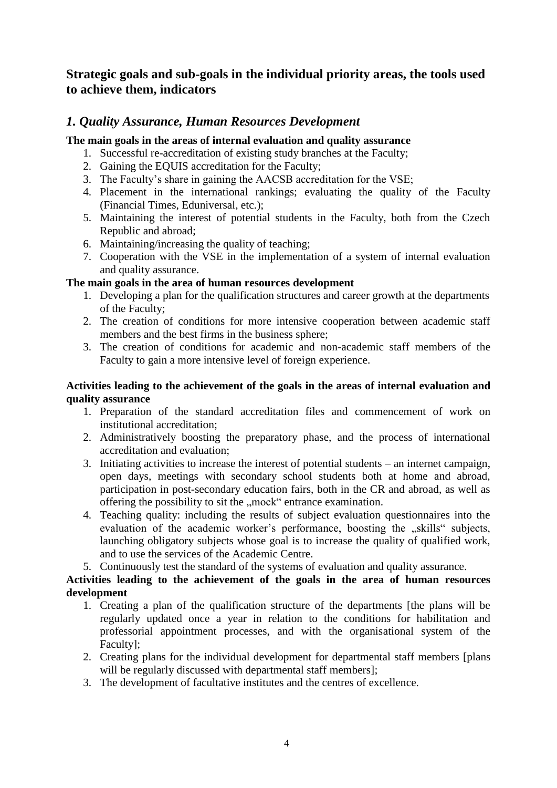## **Strategic goals and sub-goals in the individual priority areas, the tools used to achieve them, indicators**

## *1. Quality Assurance, Human Resources Development*

### **The main goals in the areas of internal evaluation and quality assurance**

- 1. Successful re-accreditation of existing study branches at the Faculty;
- 2. Gaining the EQUIS accreditation for the Faculty;
- 3. The Faculty's share in gaining the AACSB accreditation for the VSE;
- 4. Placement in the international rankings; evaluating the quality of the Faculty (Financial Times, Eduniversal, etc.);
- 5. Maintaining the interest of potential students in the Faculty, both from the Czech Republic and abroad;
- 6. Maintaining/increasing the quality of teaching;
- 7. Cooperation with the VSE in the implementation of a system of internal evaluation and quality assurance.

## **The main goals in the area of human resources development**

- 1. Developing a plan for the qualification structures and career growth at the departments of the Faculty;
- 2. The creation of conditions for more intensive cooperation between academic staff members and the best firms in the business sphere;
- 3. The creation of conditions for academic and non-academic staff members of the Faculty to gain a more intensive level of foreign experience.

#### **Activities leading to the achievement of the goals in the areas of internal evaluation and quality assurance**

- 1. Preparation of the standard accreditation files and commencement of work on institutional accreditation;
- 2. Administratively boosting the preparatory phase, and the process of international accreditation and evaluation;
- 3. Initiating activities to increase the interest of potential students an internet campaign, open days, meetings with secondary school students both at home and abroad, participation in post-secondary education fairs, both in the CR and abroad, as well as offering the possibility to sit the "mock" entrance examination.
- 4. Teaching quality: including the results of subject evaluation questionnaires into the evaluation of the academic worker's performance, boosting the "skills" subjects, launching obligatory subjects whose goal is to increase the quality of qualified work, and to use the services of the Academic Centre.
- 5. Continuously test the standard of the systems of evaluation and quality assurance.

#### **Activities leading to the achievement of the goals in the area of human resources development**

- 1. Creating a plan of the qualification structure of the departments [the plans will be regularly updated once a year in relation to the conditions for habilitation and professorial appointment processes, and with the organisational system of the Faculty];
- 2. Creating plans for the individual development for departmental staff members [plans will be regularly discussed with departmental staff members];
- 3. The development of facultative institutes and the centres of excellence.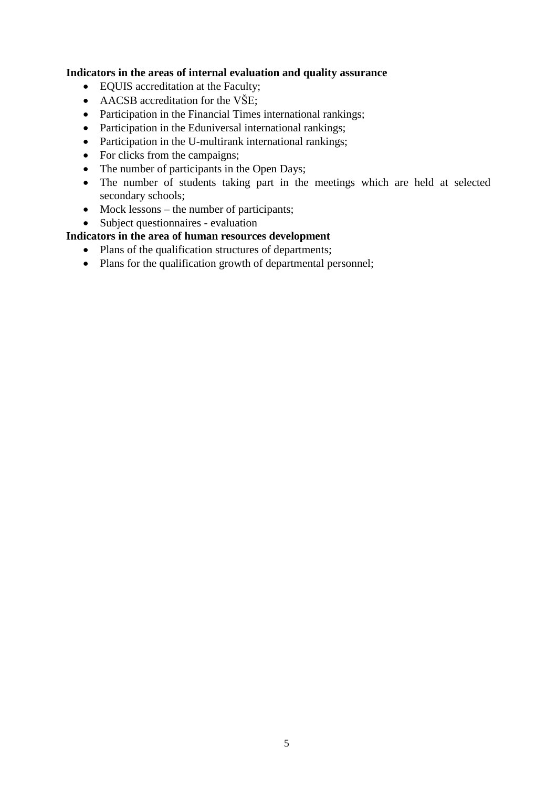### **Indicators in the areas of internal evaluation and quality assurance**

- EQUIS accreditation at the Faculty;
- AACSB accreditation for the VŠE;
- Participation in the Financial Times international rankings;
- Participation in the Eduniversal international rankings;
- Participation in the U-multirank international rankings;
- For clicks from the campaigns;
- The number of participants in the Open Days;
- The number of students taking part in the meetings which are held at selected secondary schools;
- Mock lessons the number of participants;
- Subject questionnaires evaluation

## **Indicators in the area of human resources development**

- Plans of the qualification structures of departments;
- Plans for the qualification growth of departmental personnel;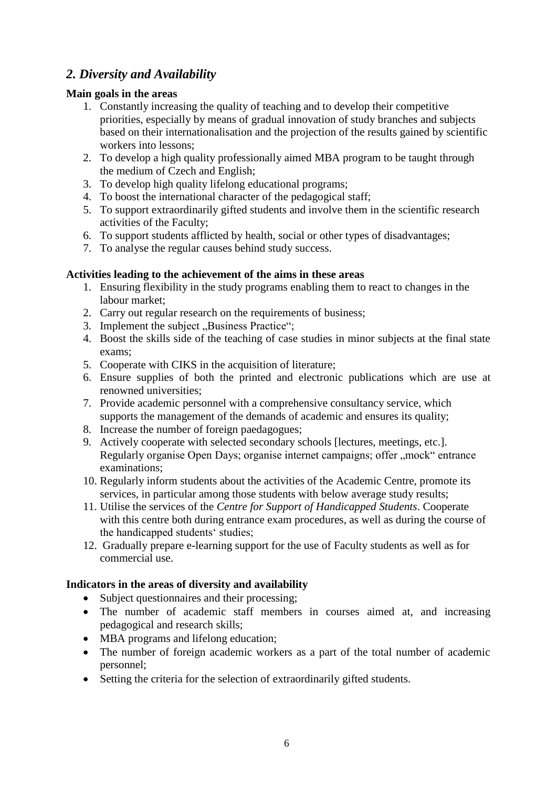## *2. Diversity and Availability*

## **Main goals in the areas**

- 1. Constantly increasing the quality of teaching and to develop their competitive priorities, especially by means of gradual innovation of study branches and subjects based on their internationalisation and the projection of the results gained by scientific workers into lessons;
- 2. To develop a high quality professionally aimed MBA program to be taught through the medium of Czech and English;
- 3. To develop high quality lifelong educational programs;
- 4. To boost the international character of the pedagogical staff;
- 5. To support extraordinarily gifted students and involve them in the scientific research activities of the Faculty;
- 6. To support students afflicted by health, social or other types of disadvantages;
- 7. To analyse the regular causes behind study success.

## **Activities leading to the achievement of the aims in these areas**

- 1. Ensuring flexibility in the study programs enabling them to react to changes in the labour market;
- 2. Carry out regular research on the requirements of business:
- 3. Implement the subject "Business Practice";
- 4. Boost the skills side of the teaching of case studies in minor subjects at the final state exams;
- 5. Cooperate with CIKS in the acquisition of literature;
- 6. Ensure supplies of both the printed and electronic publications which are use at renowned universities;
- 7. Provide academic personnel with a comprehensive consultancy service, which supports the management of the demands of academic and ensures its quality;
- 8. Increase the number of foreign paedagogues;
- 9. Actively cooperate with selected secondary schools [lectures, meetings, etc.]. Regularly organise Open Days; organise internet campaigns; offer "mock" entrance examinations;
- 10. Regularly inform students about the activities of the Academic Centre, promote its services, in particular among those students with below average study results;
- 11. Utilise the services of the *Centre for Support of Handicapped Students*. Cooperate with this centre both during entrance exam procedures, as well as during the course of the handicapped students' studies;
- 12. Gradually prepare e-learning support for the use of Faculty students as well as for commercial use.

## **Indicators in the areas of diversity and availability**

- Subject questionnaires and their processing;
- The number of academic staff members in courses aimed at, and increasing pedagogical and research skills;
- MBA programs and lifelong education;
- The number of foreign academic workers as a part of the total number of academic personnel;
- Setting the criteria for the selection of extraordinarily gifted students.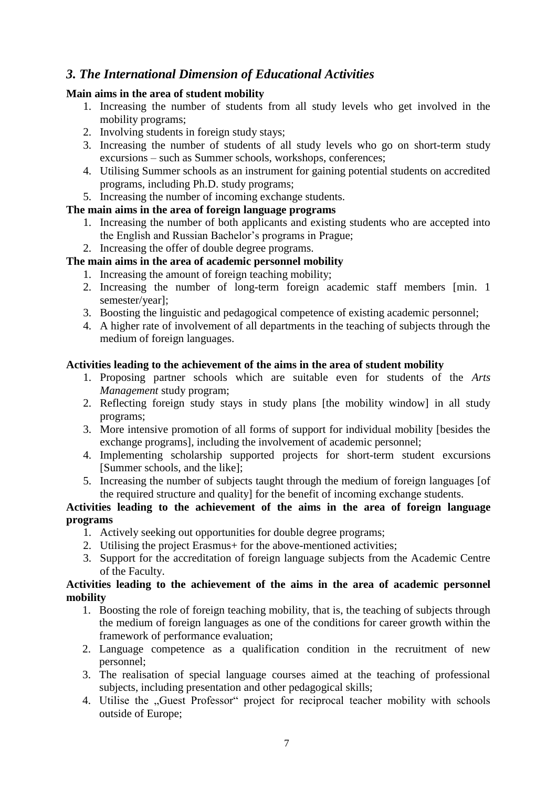## *3. The International Dimension of Educational Activities*

## **Main aims in the area of student mobility**

- 1. Increasing the number of students from all study levels who get involved in the mobility programs;
- 2. Involving students in foreign study stays;
- 3. Increasing the number of students of all study levels who go on short-term study excursions – such as Summer schools, workshops, conferences;
- 4. Utilising Summer schools as an instrument for gaining potential students on accredited programs, including Ph.D. study programs;
- 5. Increasing the number of incoming exchange students.

## **The main aims in the area of foreign language programs**

- 1. Increasing the number of both applicants and existing students who are accepted into the English and Russian Bachelor's programs in Prague;
- 2. Increasing the offer of double degree programs.

## **The main aims in the area of academic personnel mobility**

- 1. Increasing the amount of foreign teaching mobility;
- 2. Increasing the number of long-term foreign academic staff members [min. 1 semester/year];
- 3. Boosting the linguistic and pedagogical competence of existing academic personnel;
- 4. A higher rate of involvement of all departments in the teaching of subjects through the medium of foreign languages.

## **Activities leading to the achievement of the aims in the area of student mobility**

- 1. Proposing partner schools which are suitable even for students of the *Arts Management* study program;
- 2. Reflecting foreign study stays in study plans [the mobility window] in all study programs;
- 3. More intensive promotion of all forms of support for individual mobility [besides the exchange programs], including the involvement of academic personnel;
- 4. Implementing scholarship supported projects for short-term student excursions [Summer schools, and the like];
- 5. Increasing the number of subjects taught through the medium of foreign languages [of the required structure and quality] for the benefit of incoming exchange students.

### **Activities leading to the achievement of the aims in the area of foreign language programs**

- 1. Actively seeking out opportunities for double degree programs;
- 2. Utilising the project Erasmus+ for the above-mentioned activities;
- 3. Support for the accreditation of foreign language subjects from the Academic Centre of the Faculty.

### **Activities leading to the achievement of the aims in the area of academic personnel mobility**

- 1. Boosting the role of foreign teaching mobility, that is, the teaching of subjects through the medium of foreign languages as one of the conditions for career growth within the framework of performance evaluation;
- 2. Language competence as a qualification condition in the recruitment of new personnel;
- 3. The realisation of special language courses aimed at the teaching of professional subjects, including presentation and other pedagogical skills;
- 4. Utilise the "Guest Professor" project for reciprocal teacher mobility with schools outside of Europe;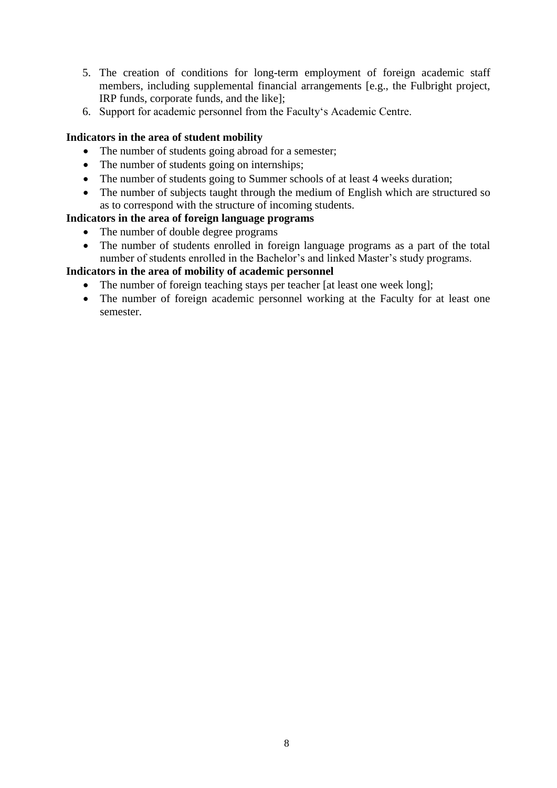- 5. The creation of conditions for long-term employment of foreign academic staff members, including supplemental financial arrangements [e.g., the Fulbright project, IRP funds, corporate funds, and the like];
- 6. Support for academic personnel from the Faculty's Academic Centre.

#### **Indicators in the area of student mobility**

- The number of students going abroad for a semester;
- The number of students going on internships;
- The number of students going to Summer schools of at least 4 weeks duration;
- The number of subjects taught through the medium of English which are structured so as to correspond with the structure of incoming students.

#### **Indicators in the area of foreign language programs**

- The number of double degree programs
- The number of students enrolled in foreign language programs as a part of the total number of students enrolled in the Bachelor's and linked Master's study programs.

#### **Indicators in the area of mobility of academic personnel**

- The number of foreign teaching stays per teacher [at least one week long];
- The number of foreign academic personnel working at the Faculty for at least one semester.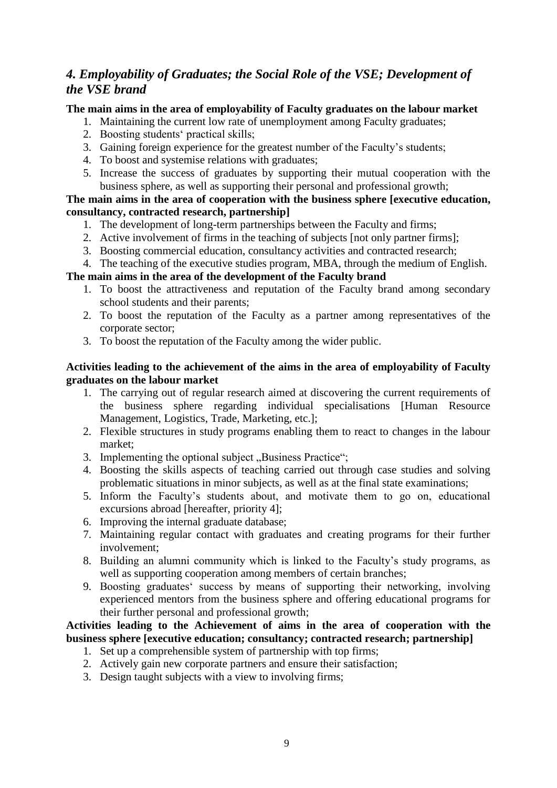## *4. Employability of Graduates; the Social Role of the VSE; Development of the VSE brand*

#### **The main aims in the area of employability of Faculty graduates on the labour market**

- 1. Maintaining the current low rate of unemployment among Faculty graduates;
- 2. Boosting students' practical skills;
- 3. Gaining foreign experience for the greatest number of the Faculty's students;
- 4. To boost and systemise relations with graduates;
- 5. Increase the success of graduates by supporting their mutual cooperation with the business sphere, as well as supporting their personal and professional growth;

#### **The main aims in the area of cooperation with the business sphere [executive education, consultancy, contracted research, partnership]**

- 1. The development of long-term partnerships between the Faculty and firms;
- 2. Active involvement of firms in the teaching of subjects [not only partner firms];
- 3. Boosting commercial education, consultancy activities and contracted research;
- 4. The teaching of the executive studies program, MBA, through the medium of English.

#### **The main aims in the area of the development of the Faculty brand**

- 1. To boost the attractiveness and reputation of the Faculty brand among secondary school students and their parents;
- 2. To boost the reputation of the Faculty as a partner among representatives of the corporate sector;
- 3. To boost the reputation of the Faculty among the wider public.

#### **Activities leading to the achievement of the aims in the area of employability of Faculty graduates on the labour market**

- 1. The carrying out of regular research aimed at discovering the current requirements of the business sphere regarding individual specialisations [Human Resource Management, Logistics, Trade, Marketing, etc.];
- 2. Flexible structures in study programs enabling them to react to changes in the labour market;
- 3. Implementing the optional subject "Business Practice";
- 4. Boosting the skills aspects of teaching carried out through case studies and solving problematic situations in minor subjects, as well as at the final state examinations;
- 5. Inform the Faculty's students about, and motivate them to go on, educational excursions abroad [hereafter, priority 4];
- 6. Improving the internal graduate database;
- 7. Maintaining regular contact with graduates and creating programs for their further involvement;
- 8. Building an alumni community which is linked to the Faculty's study programs, as well as supporting cooperation among members of certain branches;
- 9. Boosting graduates' success by means of supporting their networking, involving experienced mentors from the business sphere and offering educational programs for their further personal and professional growth;

## **Activities leading to the Achievement of aims in the area of cooperation with the business sphere [executive education; consultancy; contracted research; partnership]**

- 1. Set up a comprehensible system of partnership with top firms;
- 2. Actively gain new corporate partners and ensure their satisfaction;
- 3. Design taught subjects with a view to involving firms;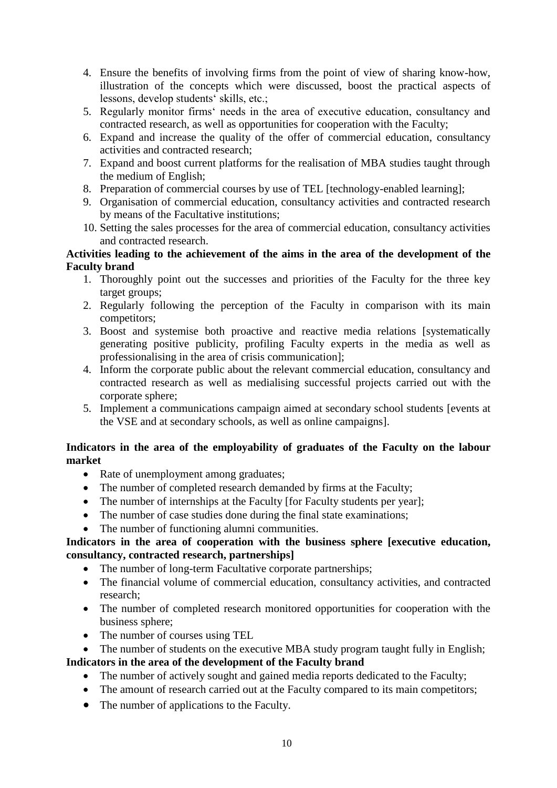- 4. Ensure the benefits of involving firms from the point of view of sharing know-how, illustration of the concepts which were discussed, boost the practical aspects of lessons, develop students' skills, etc.;
- 5. Regularly monitor firms' needs in the area of executive education, consultancy and contracted research, as well as opportunities for cooperation with the Faculty;
- 6. Expand and increase the quality of the offer of commercial education, consultancy activities and contracted research;
- 7. Expand and boost current platforms for the realisation of MBA studies taught through the medium of English;
- 8. Preparation of commercial courses by use of TEL [technology-enabled learning];
- 9. Organisation of commercial education, consultancy activities and contracted research by means of the Facultative institutions;
- 10. Setting the sales processes for the area of commercial education, consultancy activities and contracted research.

### **Activities leading to the achievement of the aims in the area of the development of the Faculty brand**

- 1. Thoroughly point out the successes and priorities of the Faculty for the three key target groups;
- 2. Regularly following the perception of the Faculty in comparison with its main competitors;
- 3. Boost and systemise both proactive and reactive media relations [systematically generating positive publicity, profiling Faculty experts in the media as well as professionalising in the area of crisis communication];
- 4. Inform the corporate public about the relevant commercial education, consultancy and contracted research as well as medialising successful projects carried out with the corporate sphere;
- 5. Implement a communications campaign aimed at secondary school students [events at the VSE and at secondary schools, as well as online campaigns].

## **Indicators in the area of the employability of graduates of the Faculty on the labour market**

- Rate of unemployment among graduates;
- The number of completed research demanded by firms at the Faculty;
- The number of internships at the Faculty [for Faculty students per year];
- The number of case studies done during the final state examinations;
- The number of functioning alumni communities.

## **Indicators in the area of cooperation with the business sphere [executive education, consultancy, contracted research, partnerships]**

- The number of long-term Facultative corporate partnerships:
- The financial volume of commercial education, consultancy activities, and contracted research;
- The number of completed research monitored opportunities for cooperation with the business sphere;
- The number of courses using TEL
- The number of students on the executive MBA study program taught fully in English; **Indicators in the area of the development of the Faculty brand**
	- The number of actively sought and gained media reports dedicated to the Faculty;
	- The amount of research carried out at the Faculty compared to its main competitors;
	- The number of applications to the Faculty.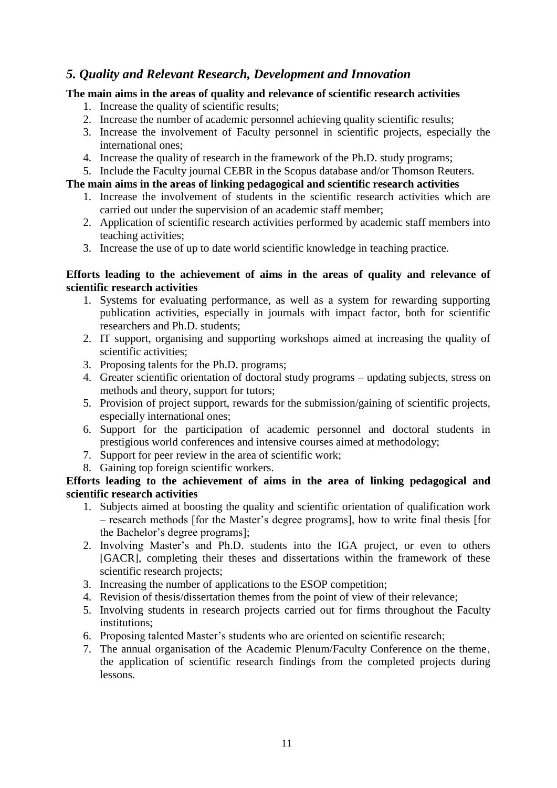## *5. Quality and Relevant Research, Development and Innovation*

## **The main aims in the areas of quality and relevance of scientific research activities**

- 1. Increase the quality of scientific results;
- 2. Increase the number of academic personnel achieving quality scientific results;
- 3. Increase the involvement of Faculty personnel in scientific projects, especially the international ones;
- 4. Increase the quality of research in the framework of the Ph.D. study programs;
- 5. Include the Faculty journal CEBR in the Scopus database and/or Thomson Reuters.

## **The main aims in the areas of linking pedagogical and scientific research activities**

- 1. Increase the involvement of students in the scientific research activities which are carried out under the supervision of an academic staff member;
- 2. Application of scientific research activities performed by academic staff members into teaching activities;
- 3. Increase the use of up to date world scientific knowledge in teaching practice.

#### **Efforts leading to the achievement of aims in the areas of quality and relevance of scientific research activities**

- 1. Systems for evaluating performance, as well as a system for rewarding supporting publication activities, especially in journals with impact factor, both for scientific researchers and Ph.D. students;
- 2. IT support, organising and supporting workshops aimed at increasing the quality of scientific activities;
- 3. Proposing talents for the Ph.D. programs;
- 4. Greater scientific orientation of doctoral study programs updating subjects, stress on methods and theory, support for tutors;
- 5. Provision of project support, rewards for the submission/gaining of scientific projects, especially international ones;
- 6. Support for the participation of academic personnel and doctoral students in prestigious world conferences and intensive courses aimed at methodology;
- 7. Support for peer review in the area of scientific work;
- 8. Gaining top foreign scientific workers.

### **Efforts leading to the achievement of aims in the area of linking pedagogical and scientific research activities**

- 1. Subjects aimed at boosting the quality and scientific orientation of qualification work – research methods [for the Master's degree programs], how to write final thesis [for the Bachelor's degree programs];
- 2. Involving Master's and Ph.D. students into the IGA project, or even to others [GACR], completing their theses and dissertations within the framework of these scientific research projects;
- 3. Increasing the number of applications to the ESOP competition;
- 4. Revision of thesis/dissertation themes from the point of view of their relevance;
- 5. Involving students in research projects carried out for firms throughout the Faculty institutions;
- 6. Proposing talented Master's students who are oriented on scientific research;
- 7. The annual organisation of the Academic Plenum/Faculty Conference on the theme' the application of scientific research findings from the completed projects during lessons.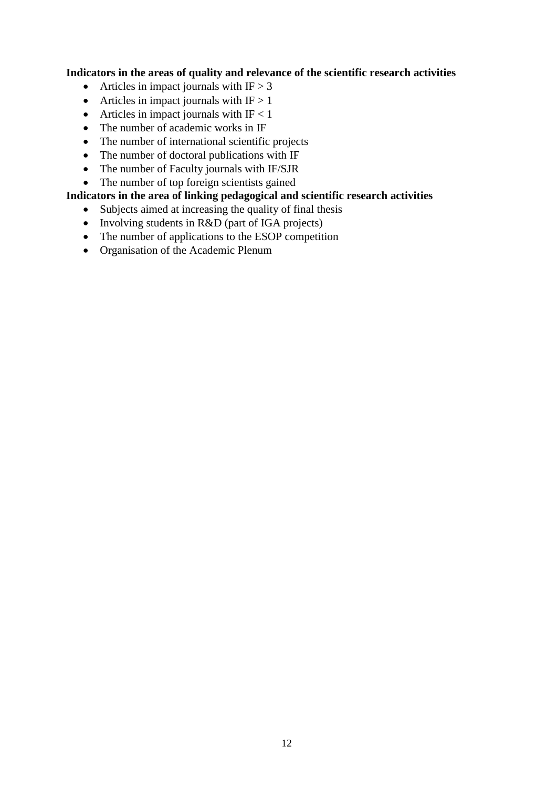### **Indicators in the areas of quality and relevance of the scientific research activities**

- Articles in impact journals with  $IF > 3$
- Articles in impact journals with  $IF > 1$
- Articles in impact journals with  $IF < 1$
- The number of academic works in IF
- The number of international scientific projects
- The number of doctoral publications with IF
- The number of Faculty journals with IF/SJR
- The number of top foreign scientists gained

## **Indicators in the area of linking pedagogical and scientific research activities**

- Subjects aimed at increasing the quality of final thesis
- Involving students in R&D (part of IGA projects)
- The number of applications to the ESOP competition
- Organisation of the Academic Plenum